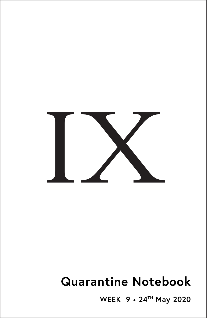

# **Quarantine Notebook**

**WEEK 9** • **24TH May 2020**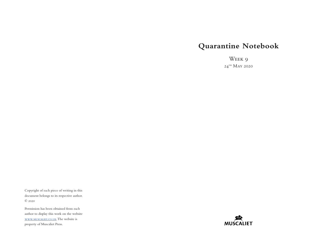# **Quarantine Notebook**

Week 9  $24^{\mathrm{th}}$  May 2020

Copyright of each piece of writing in this document belongs to its respective author. © 2020

Permission has been obtained from each author to display this work on the website [www.muscaliet.co.uk.](https://www.muscaliet.co.uk) The website is property of Muscaliet Press.

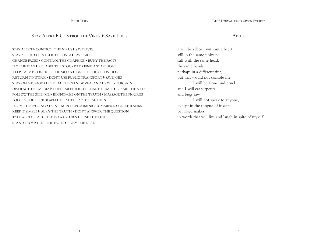Philip Terry

# STAY ALERT CONTROL THE VIRUS CAVE LIVES

STAY ALERT  $\blacktriangleright$  CONTROL THE VIRUS  $\blacktriangleright$  SAVE LIVES STAY ALOOF  $\blacktriangleright$  CONTROL THE DATA  $\blacktriangleright$  SAVE FACE CHANGE FACES  $\blacktriangleright$  CONTROL THE GRAPHICS  $\blacktriangleright$  BURY THE FACTS FLY THE FLAG  $\blacktriangleright$  R ELABEL THE STOCKPILE  $\blacktriangleright$  FIND A SCAPEGOAT KEEP CALM  $\blacktriangleright$  CONTROL THE MEDIA  $\blacktriangleright$  IGNORE THE OPPOSITION RETURN TO WORK  $\blacktriangleright$  DON'T USE PUBLIC TRANSPORT  $\blacktriangleright$  SAVE JOBS STAY ON MESSAGE  $\blacktriangleright$  DON'T MENTION NEW ZEALAND  $\blacktriangleright$  SAVE YOUR SKIN DISTRACT THE MEDIA  $\blacktriangleright$  DON'T MENTION THE CARE HOMES  $\blacktriangleright$  BLAME THE N.H.S. FOLLOW THE SCIENCE  $\blacktriangleright$  ECONOMISE ON THE TRUTH  $\blacktriangleright$  MASSAGE THE FIGUR ES LOOSEN THE LOCKDOWN FRIAL THE APP FLOSE LIVES PROMOTE CYCLING  $\blacktriangleright$  DON'T MENTION DOMINIC CUMMINGS  $\blacktriangleright$  CLOSE RANKS KEEP IT SIMPLE  $\blacktriangleright$  BURY THE TRUTH  $\blacktriangleright$  DON'T ANSWER THE QUESTION TALK ABOUT TARGETS  $\blacktriangleright$  DO A U-TURN  $\blacktriangleright$  LOSE THE TESTS STAND FIRM  $\blacktriangleright$  HIDE THE FACTS  $\blacktriangleright$  BURY THE DEAD

#### **AFTER**

I will be reborn without a heart, still in the same universe, still with the same head, the same hands, perhaps in a different tint, but that would not console me. I will be alone and cruel and I will eat serpents and bugs raw. I will not speak to anyone, except in the tongue of insects or naked snakes, in words that will live and laugh in spite of myself.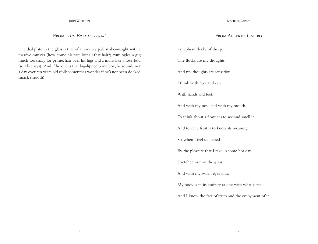John Worthen

From *'the Brahms book'*

The dial plate in the glass is that of a horribly pale make-weight with a massive canister (how come his pate lost all that hair?), rum ogles, a gig much too sharp for prime, hair over his lugs and a muns like a rose-bud (so Elise says). And if he opens that big-lipped bone box, he sounds not a day over ten years old (folk sometimes wonder if he's not been docked smack smooth).

Michael Grant

# From Alberto Caeiro

I shepherd flocks of sheep. The flocks are my thoughts

And my thoughts are sensation.

I think with eyes and ears,

With hands and feet,

And with my nose and with my mouth.

To think about a flower is to see and smell it

And to eat a fruit is to know its meaning.

So, when I feel saddened

By the pleasure that I take in some hot day,

Stretched out on the grass,

And with my warm eyes shut,

My body is in its entirety at one with what is real,

And I know the fact of truth and the enjoyment of it.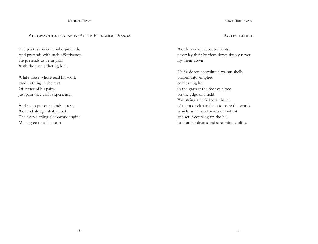# Autopsychogeography: After Fernando Pessoa

The poet is someone who pretends, And pretends with such effectiveness He pretends to be in pain With the pain afflicting him,

While those whose read his work Find nothing in the text Of either of his pains, Just pain they can't experience.

And so, to put our minds at rest, We send along a shaky track The ever-circling clockwork engine Men agree to call a heart.

Moyra Tourlamain

#### Parley denied

Words pick up accoutrements, never lay their burdens down simply never lay them down.

Half a dozen convoluted walnut shells broken into, emptied of meaning lie in the grass at the foot of a tree on the edge of a field. You string a necklace, a charm of them or clatter them to scare the words which run a hand across the wheat and set it coursing up the hill to thunder drums and screaming violins.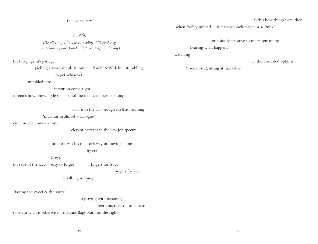Duncan MacKay

21.v.69

## *(Recollecting a Zukofsky reading, US Embassy, Grosvenor Square, London. 51 years ago to the day)*

Of this pilgrim's passage

 picking a word simple in mind Barely & Widely stumbling to get wherever

stumbled into

#### intention come right

it seems now knowing less until the field clears space enough

what is in the air through itself as meaning

#### 'murmur in almost a dialogue'

circumspect conversations

elegant patterns in the day-job spectra

foremost was his mentor's way of moving a line

by ear

& eye

for sake of the facts easy to forget fingers for stops

fingers for keys

as talking is doing

'tasting the sweet & the sorry'

in playing with meaning

text punctuates so faint as

to strain what is otherwise margins flaps blurb on the right

when freshly minted 'at least as much mayhem as Punk'

forensically sensitive to traces remaining

hearing what happens

watching

all the discarded options

'I see us still, sitting at that table.'

is this how things were then